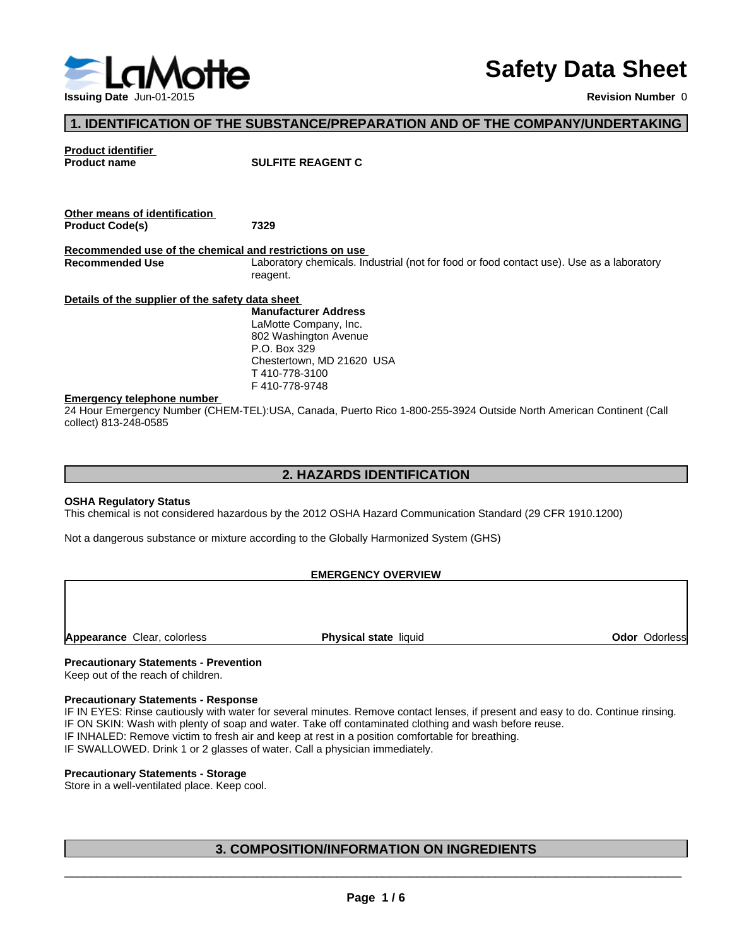

# **Safety Data Sheet**

**Revision Number** 0

# **1. IDENTIFICATION OF THE SUBSTANCE/PREPARATION AND OF THE COMPANY/UNDERTAKING**

**Product identifier** 

**SULFITE REAGENT C** 

| Other means of identification                    |                                                                                                                    |  |
|--------------------------------------------------|--------------------------------------------------------------------------------------------------------------------|--|
| <b>Product Code(s)</b>                           | 7329                                                                                                               |  |
|                                                  | Recommended use of the chemical and restrictions on use                                                            |  |
| <b>Recommended Use</b>                           | Laboratory chemicals. Industrial (not for food or food contact use). Use as a laboratory<br>reagent.               |  |
| Details of the supplier of the safety data sheet |                                                                                                                    |  |
|                                                  | <b>Manufacturer Address</b>                                                                                        |  |
|                                                  | LaMotte Company, Inc.                                                                                              |  |
|                                                  | 802 Washington Avenue                                                                                              |  |
|                                                  | P.O. Box 329                                                                                                       |  |
|                                                  | Chestertown, MD 21620 USA                                                                                          |  |
|                                                  | T 410-778-3100                                                                                                     |  |
|                                                  | F410-778-9748                                                                                                      |  |
| <b>Emergency telephone number</b>                |                                                                                                                    |  |
|                                                  | 24 Hour Emergency Number (CHEM-TEL):USA, Canada, Puerto Rico 1-800-255-3924 Outside North American Continent (Call |  |
| collect) 813-248-0585                            |                                                                                                                    |  |

## **2. HAZARDS IDENTIFICATION**

#### **OSHA Regulatory Status**

This chemical is not considered hazardous by the 2012 OSHA Hazard Communication Standard (29 CFR 1910.1200)

Not a dangerous substance or mixture according to the Globally Harmonized System (GHS)

#### **EMERGENCY OVERVIEW**

**Appearance** Clear, colorless **Physical state** liquid **Odor** Odorless

#### **Precautionary Statements - Prevention**

Keep out of the reach of children.

#### **Precautionary Statements - Response**

IF IN EYES: Rinse cautiously with water for several minutes. Remove contact lenses, if present and easy to do. Continue rinsing. IF ON SKIN: Wash with plenty of soap and water. Take off contaminated clothing and wash before reuse.

IF INHALED: Remove victim to fresh air and keep at rest in a position comfortable for breathing.

IF SWALLOWED. Drink 1 or 2 glasses of water. Call a physician immediately.

#### **Precautionary Statements - Storage**

Store in a well-ventilated place. Keep cool.

# **3. COMPOSITION/INFORMATION ON INGREDIENTS**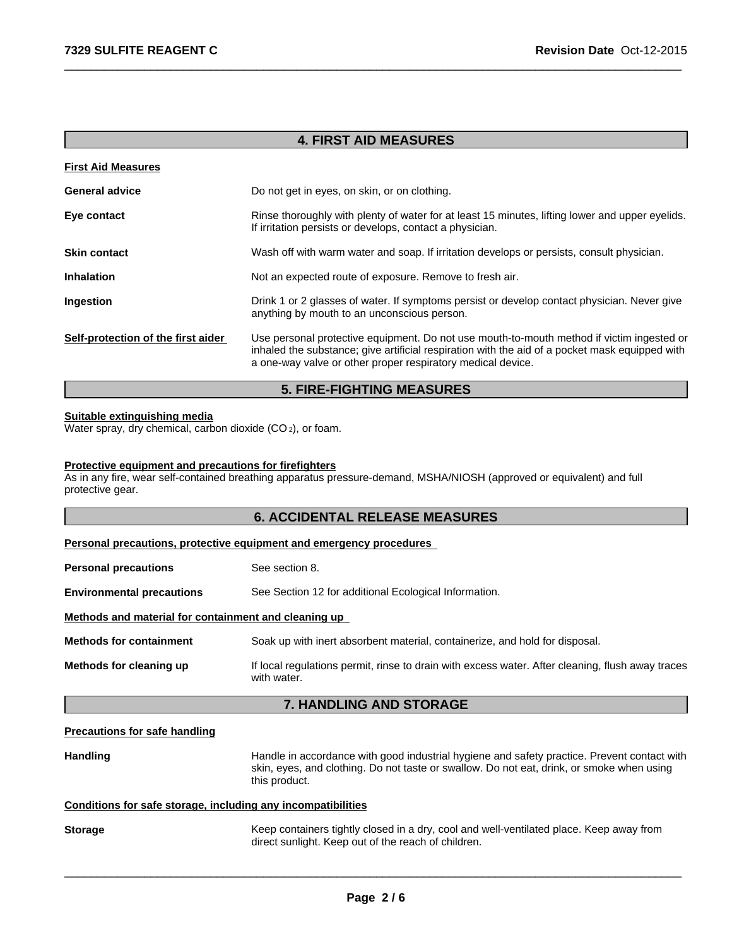# **4. FIRST AID MEASURES**

 $\overline{\phantom{a}}$  ,  $\overline{\phantom{a}}$  ,  $\overline{\phantom{a}}$  ,  $\overline{\phantom{a}}$  ,  $\overline{\phantom{a}}$  ,  $\overline{\phantom{a}}$  ,  $\overline{\phantom{a}}$  ,  $\overline{\phantom{a}}$  ,  $\overline{\phantom{a}}$  ,  $\overline{\phantom{a}}$  ,  $\overline{\phantom{a}}$  ,  $\overline{\phantom{a}}$  ,  $\overline{\phantom{a}}$  ,  $\overline{\phantom{a}}$  ,  $\overline{\phantom{a}}$  ,  $\overline{\phantom{a}}$ 

| <b>First Aid Measures</b>          |                                                                                                                                                                                                                                                            |
|------------------------------------|------------------------------------------------------------------------------------------------------------------------------------------------------------------------------------------------------------------------------------------------------------|
| <b>General advice</b>              | Do not get in eyes, on skin, or on clothing.                                                                                                                                                                                                               |
| Eye contact                        | Rinse thoroughly with plenty of water for at least 15 minutes, lifting lower and upper eyelids.<br>If irritation persists or develops, contact a physician.                                                                                                |
| <b>Skin contact</b>                | Wash off with warm water and soap. If irritation develops or persists, consult physician.                                                                                                                                                                  |
| <b>Inhalation</b>                  | Not an expected route of exposure. Remove to fresh air.                                                                                                                                                                                                    |
| Ingestion                          | Drink 1 or 2 glasses of water. If symptoms persist or develop contact physician. Never give<br>anything by mouth to an unconscious person.                                                                                                                 |
| Self-protection of the first aider | Use personal protective equipment. Do not use mouth-to-mouth method if victim ingested or<br>inhaled the substance; give artificial respiration with the aid of a pocket mask equipped with<br>a one-way valve or other proper respiratory medical device. |

# **5. FIRE-FIGHTING MEASURES**

# **Suitable extinguishing media**

Water spray, dry chemical, carbon dioxide (CO<sub>2</sub>), or foam.

## **Protective equipment and precautions for firefighters**

As in any fire, wear self-contained breathing apparatus pressure-demand, MSHA/NIOSH (approved or equivalent) and full protective gear.

## **6. ACCIDENTAL RELEASE MEASURES**

#### **Personal precautions, protective equipment and emergency procedures**

| <b>Personal precautions</b>                          | See section 8.                                                                                                  |  |
|------------------------------------------------------|-----------------------------------------------------------------------------------------------------------------|--|
| <b>Environmental precautions</b>                     | See Section 12 for additional Ecological Information.                                                           |  |
| Methods and material for containment and cleaning up |                                                                                                                 |  |
| <b>Methods for containment</b>                       | Soak up with inert absorbent material, containerize, and hold for disposal.                                     |  |
| Methods for cleaning up                              | If local regulations permit, rinse to drain with excess water. After cleaning, flush away traces<br>with water. |  |

# **7. HANDLING AND STORAGE**

#### **Precautions for safe handling**

Handling **Handle in accordance with good industrial hygiene and safety practice. Prevent contact with** skin, eyes, and clothing. Do not taste or swallow. Do not eat, drink, or smoke when using this product.

 $\overline{\phantom{a}}$  ,  $\overline{\phantom{a}}$  ,  $\overline{\phantom{a}}$  ,  $\overline{\phantom{a}}$  ,  $\overline{\phantom{a}}$  ,  $\overline{\phantom{a}}$  ,  $\overline{\phantom{a}}$  ,  $\overline{\phantom{a}}$  ,  $\overline{\phantom{a}}$  ,  $\overline{\phantom{a}}$  ,  $\overline{\phantom{a}}$  ,  $\overline{\phantom{a}}$  ,  $\overline{\phantom{a}}$  ,  $\overline{\phantom{a}}$  ,  $\overline{\phantom{a}}$  ,  $\overline{\phantom{a}}$ 

#### **Conditions for safe storage, including any incompatibilities**

| <b>Storage</b> | Keep containers tightly closed in a dry, cool and well-ventilated place. Keep away from |
|----------------|-----------------------------------------------------------------------------------------|
|                | direct sunlight. Keep out of the reach of children.                                     |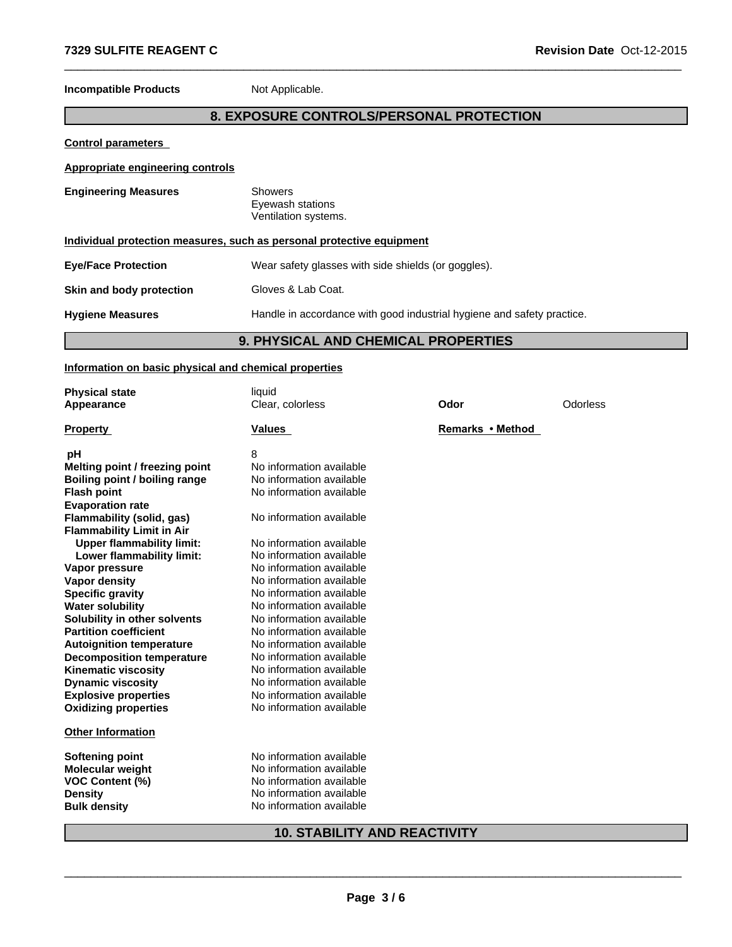**Incompatible Products** Not Applicable.

# **8. EXPOSURE CONTROLS/PERSONAL PROTECTION**

 $\overline{\phantom{a}}$  ,  $\overline{\phantom{a}}$  ,  $\overline{\phantom{a}}$  ,  $\overline{\phantom{a}}$  ,  $\overline{\phantom{a}}$  ,  $\overline{\phantom{a}}$  ,  $\overline{\phantom{a}}$  ,  $\overline{\phantom{a}}$  ,  $\overline{\phantom{a}}$  ,  $\overline{\phantom{a}}$  ,  $\overline{\phantom{a}}$  ,  $\overline{\phantom{a}}$  ,  $\overline{\phantom{a}}$  ,  $\overline{\phantom{a}}$  ,  $\overline{\phantom{a}}$  ,  $\overline{\phantom{a}}$ 

**Control parameters** 

**Appropriate engineering controls**

| <b>Engineering Measures</b>                                           | <b>Showers</b><br>Eyewash stations<br>Ventilation systems.             |  |
|-----------------------------------------------------------------------|------------------------------------------------------------------------|--|
| Individual protection measures, such as personal protective equipment |                                                                        |  |
| <b>Eye/Face Protection</b>                                            | Wear safety glasses with side shields (or goggles).                    |  |
| Skin and body protection                                              | Gloves & Lab Coat.                                                     |  |
| <b>Hygiene Measures</b>                                               | Handle in accordance with good industrial hygiene and safety practice. |  |

# **9. PHYSICAL AND CHEMICAL PROPERTIES**

#### **Information on basic physical and chemical properties**

| <b>Physical state</b>            | liquid                   |                  |          |  |
|----------------------------------|--------------------------|------------------|----------|--|
| Appearance                       | Clear, colorless         | Odor             | Odorless |  |
| <b>Property</b>                  | <b>Values</b>            | Remarks • Method |          |  |
| рH                               | 8                        |                  |          |  |
| Melting point / freezing point   | No information available |                  |          |  |
| Boiling point / boiling range    | No information available |                  |          |  |
| <b>Flash point</b>               | No information available |                  |          |  |
| <b>Evaporation rate</b>          |                          |                  |          |  |
| Flammability (solid, gas)        | No information available |                  |          |  |
| <b>Flammability Limit in Air</b> |                          |                  |          |  |
| <b>Upper flammability limit:</b> | No information available |                  |          |  |
| Lower flammability limit:        | No information available |                  |          |  |
| Vapor pressure                   | No information available |                  |          |  |
| <b>Vapor density</b>             | No information available |                  |          |  |
| <b>Specific gravity</b>          | No information available |                  |          |  |
| <b>Water solubility</b>          | No information available |                  |          |  |
| Solubility in other solvents     | No information available |                  |          |  |
| <b>Partition coefficient</b>     | No information available |                  |          |  |
| <b>Autoignition temperature</b>  | No information available |                  |          |  |
| <b>Decomposition temperature</b> | No information available |                  |          |  |
| <b>Kinematic viscosity</b>       | No information available |                  |          |  |
| <b>Dynamic viscosity</b>         | No information available |                  |          |  |
| <b>Explosive properties</b>      | No information available |                  |          |  |
| <b>Oxidizing properties</b>      | No information available |                  |          |  |
| <b>Other Information</b>         |                          |                  |          |  |
| <b>Softening point</b>           | No information available |                  |          |  |
| <b>Molecular weight</b>          | No information available |                  |          |  |
| <b>VOC Content (%)</b>           | No information available |                  |          |  |
| <b>Density</b>                   | No information available |                  |          |  |
| <b>Bulk density</b>              | No information available |                  |          |  |
|                                  |                          |                  |          |  |

# **10. STABILITY AND REACTIVITY**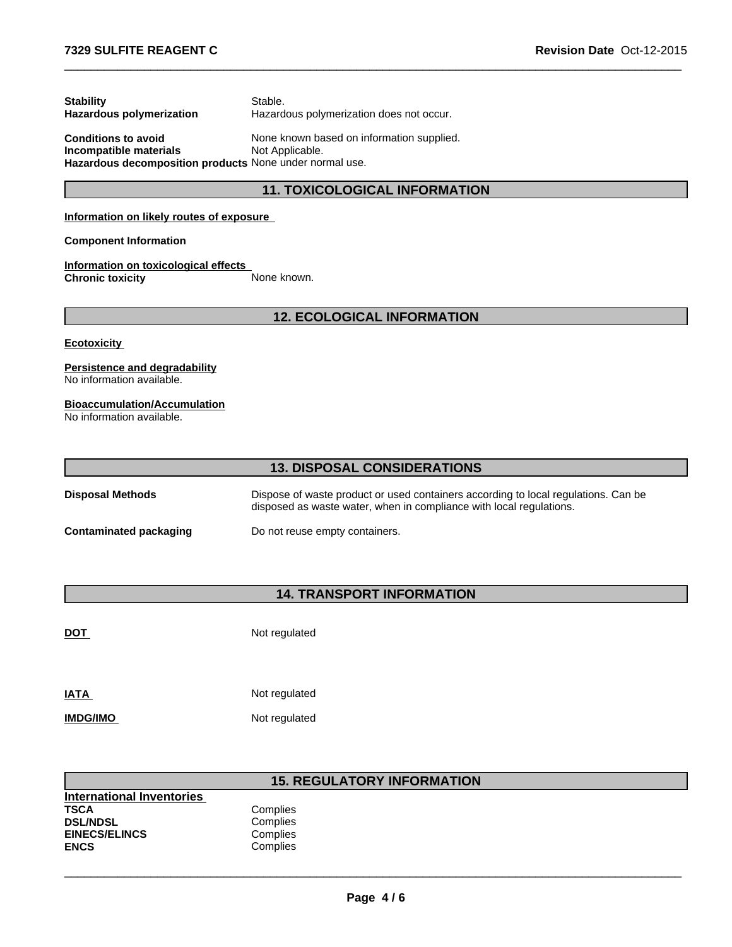| <b>Stability</b>           | Stable.                                  |
|----------------------------|------------------------------------------|
| Hazardous polymerization   | Hazardous polymerization does not occur. |
| <b>Conditions to avoid</b> | None known based on information supplie  |

**Conditions to avoid** None known based on information supplied.<br> **Incompatible materials** Not Applicable. **Incompatible materials Hazardous decomposition products** None under normal use.

# **11. TOXICOLOGICAL INFORMATION**

 $\overline{\phantom{a}}$  ,  $\overline{\phantom{a}}$  ,  $\overline{\phantom{a}}$  ,  $\overline{\phantom{a}}$  ,  $\overline{\phantom{a}}$  ,  $\overline{\phantom{a}}$  ,  $\overline{\phantom{a}}$  ,  $\overline{\phantom{a}}$  ,  $\overline{\phantom{a}}$  ,  $\overline{\phantom{a}}$  ,  $\overline{\phantom{a}}$  ,  $\overline{\phantom{a}}$  ,  $\overline{\phantom{a}}$  ,  $\overline{\phantom{a}}$  ,  $\overline{\phantom{a}}$  ,  $\overline{\phantom{a}}$ 

#### **Information on likely routes of exposure**

#### **Component Information**

**Information on toxicological effects Chronic toxicity** None known.

# **12. ECOLOGICAL INFORMATION**

#### **Ecotoxicity**

### **Persistence and degradability**

No information available.

#### **Bioaccumulation/Accumulation**

No information available.

| <b>13. DISPOSAL CONSIDERATIONS</b> |                                                                                                                                                           |  |
|------------------------------------|-----------------------------------------------------------------------------------------------------------------------------------------------------------|--|
| Disposal Methods                   | Dispose of waste product or used containers according to local regulations. Can be<br>disposed as waste water, when in compliance with local regulations. |  |
| Contaminated packaging             | Do not reuse empty containers.                                                                                                                            |  |

# **14. TRANSPORT INFORMATION**

**DOT** Not regulated

| <b>IATA</b>     | Not regulated |
|-----------------|---------------|
| <b>IMDG/IMO</b> | Not regulated |

# **15. REGULATORY INFORMATION**

| Complies |  |
|----------|--|
| Complies |  |
| Complies |  |
| Complies |  |
|          |  |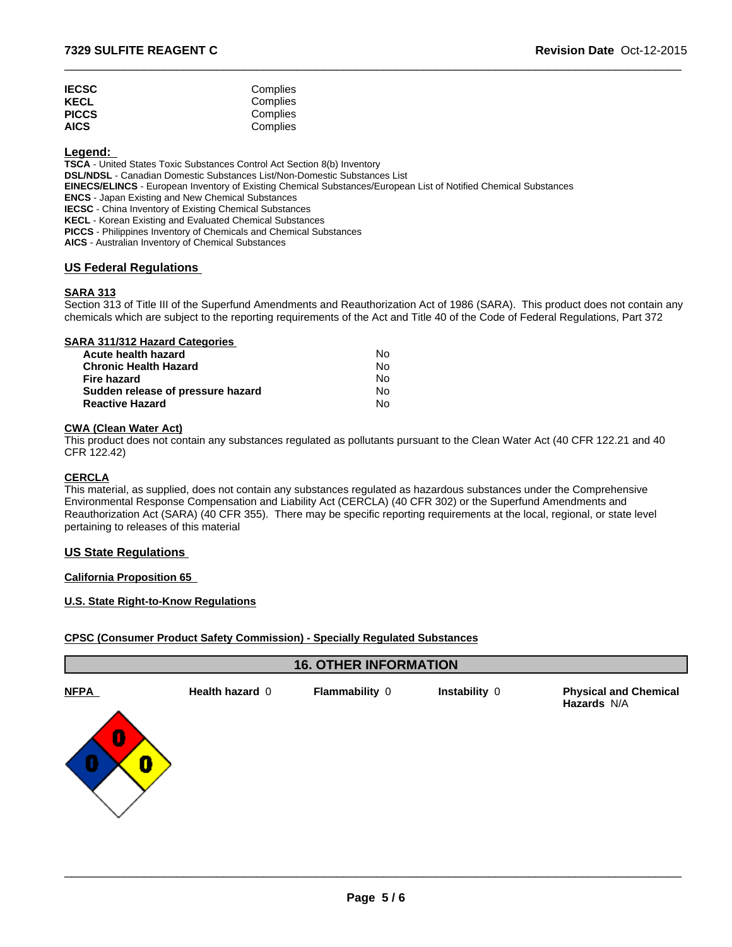| <b>IECSC</b> | Complies |  |
|--------------|----------|--|
| KECL         | Complies |  |
| <b>PICCS</b> | Complies |  |
| <b>AICS</b>  | Complies |  |

# **Legend:**

**TSCA** - United States Toxic Substances Control Act Section 8(b) Inventory **DSL/NDSL** - Canadian Domestic Substances List/Non-Domestic Substances List **EINECS/ELINCS** - European Inventory of Existing Chemical Substances/European List of Notified Chemical Substances **ENCS** - Japan Existing and New Chemical Substances **IECSC** - China Inventory of Existing Chemical Substances **KECL** - Korean Existing and Evaluated Chemical Substances **PICCS** - Philippines Inventory of Chemicals and Chemical Substances **AICS** - Australian Inventory of Chemical Substances

#### **US Federal Regulations**

#### **SARA 313**

Section 313 of Title III of the Superfund Amendments and Reauthorization Act of 1986 (SARA). This product does not contain any chemicals which are subject to the reporting requirements of the Act and Title 40 of the Code of Federal Regulations, Part 372

 $\overline{\phantom{a}}$  ,  $\overline{\phantom{a}}$  ,  $\overline{\phantom{a}}$  ,  $\overline{\phantom{a}}$  ,  $\overline{\phantom{a}}$  ,  $\overline{\phantom{a}}$  ,  $\overline{\phantom{a}}$  ,  $\overline{\phantom{a}}$  ,  $\overline{\phantom{a}}$  ,  $\overline{\phantom{a}}$  ,  $\overline{\phantom{a}}$  ,  $\overline{\phantom{a}}$  ,  $\overline{\phantom{a}}$  ,  $\overline{\phantom{a}}$  ,  $\overline{\phantom{a}}$  ,  $\overline{\phantom{a}}$ 

### **SARA 311/312 Hazard Categories**

| Acute health hazard               | No. |
|-----------------------------------|-----|
| <b>Chronic Health Hazard</b>      | No  |
| Fire hazard                       | N٥  |
| Sudden release of pressure hazard | No. |
| <b>Reactive Hazard</b>            | N٥  |

#### **CWA (Clean Water Act)**

This product does not contain any substances regulated as pollutants pursuant to the Clean Water Act (40 CFR 122.21 and 40 CFR 122.42)

#### **CERCLA**

This material, as supplied, does not contain any substances regulated as hazardous substances under the Comprehensive Environmental Response Compensation and Liability Act (CERCLA) (40 CFR 302) or the Superfund Amendments and Reauthorization Act (SARA) (40 CFR 355). There may be specific reporting requirements at the local, regional, or state level pertaining to releases of this material

#### **US State Regulations**

#### **California Proposition 65**

#### **U.S. State Right-to-Know Regulations**

#### **CPSC (Consumer Product Safety Commission) - Specially Regulated Substances**

| Health hazard 0<br><b>NFPA</b><br><b>Physical and Chemical</b><br>Flammability 0<br>Instability 0<br>Hazards N/A<br>$\bf{0}$<br>0 |
|-----------------------------------------------------------------------------------------------------------------------------------|
|                                                                                                                                   |
|                                                                                                                                   |